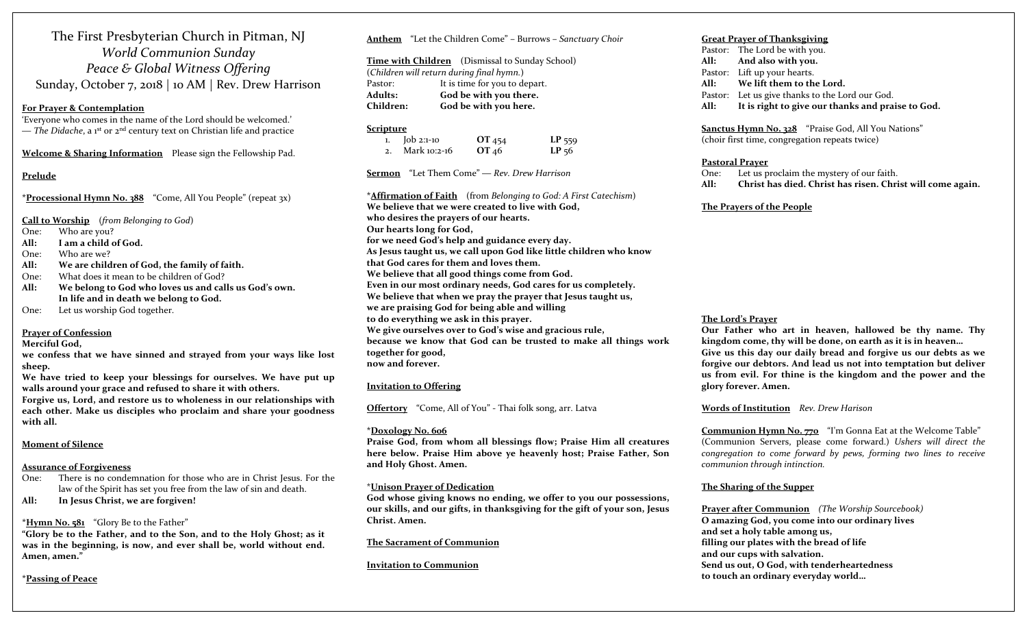The First Presbyterian Church in Pitman, NJ *World Communion Sunday Peace & Global Witness Offering* Sunday, October 7, <sup>2018</sup> | <sup>10</sup> AM | Rev. Drew Harrison

#### **For Prayer & Contemplation**

'Everyone who comes in the name of the Lord should be welcomed.' ― *The Didache*, <sup>a</sup> <sup>1</sup>st or <sup>2</sup>nd century text on Christian life and practice

**Welcome & Sharing Information** Please sign the Fellowship Pad.

#### **Prelude**

**\*Processional Hymn No. <sup>3</sup><sup>88</sup>** "Come, All You People" (repeat 3x)

**Call to Worship** (*from Belonging to God*)

- One:Who are you?
- **All:I am <sup>a</sup> child of God.**
- $One.$ Who are we?
- **All:We are children of God, the family of faith.**
- One:What does it mean to be children of God?
- **All: We belong to God who loves us and calls us God's own. In life and in death we belong to God.**
- One:Let us worship God together.

#### **Prayer of Confession**

**Merciful God,**

**we confess that we have sinned and strayed from your ways like lost sheep.**

**We have tried to keep your blessings for ourselves. We have pu<sup>t</sup> up walls around your grace and refused to share it with others.**

**Forgive us, Lord, and restore us to wholeness in our relationships with each other. Make us disciples who proclaim and share your goodness with all.**

#### **Moment of Silence**

#### **Assurance of Forgiveness**

One: There is no condemnation for those who are in Christ Jesus. For the law of the Spirit has set you free from the law of sin and death.

**All:In Jesus Christ, we are forgiven!**

#### **\*Hymn No. <sup>5</sup><sup>81</sup>** "Glory Be to the Father"

**"Glory be to the Father, and to the Son, and to the Holy Ghost; as it was in the beginning, is now, and ever shall be, world without end. Amen, amen."**

#### **\*Passing of Peace**

**Anthem** "Let the Children Come" – Burrows – *Sanctuary Choir*

**Time with Children** (Dismissal to Sunday School) (*Children will return during final hymn.*) Pastor: It is time for you to depart. **Adults: God be with you there. Children:God be with you here.**

#### **Scripture**

| 1. $\int$ ob 2:1-10 | <b>OT</b> 454 | $LP$ 559 |
|---------------------|---------------|----------|
| 2. Mark 10:2-16     | OT 46         | LP 56    |

**Sermon** "Let Them Come" ― *Rev. Drew Harrison*

**\*Affirmation of Faith** (from *Belonging to God: A First Catechism*) **We believe that we were created to live with God, who desires the prayers of our hearts. Our hearts long for God, for we need God's help and guidance every day. As Jesus taught us, we call upon God like little children who know that God cares for them and loves them. We believe that all good things come from God. Even in our most ordinary needs, God cares for us completely. We believe that when we pray the prayer that Jesus taught us, we are praising God for being able and willing to do everything we ask in this prayer. We give ourselves over to God's wise and gracious rule, because we know that God can be trusted to make all things work together for good, now and forever.**

#### **Invitation to Offering**

**Offertory** "Come, All of You" ‐ Thai folk song, arr. Latva

#### **\*Doxology No. 606**

**Praise God, from whom all blessings flow; Praise Him all creatures here below. Praise Him above ye heavenly host; Praise Father, Son and Holy Ghost. Amen.**

#### \***Unison Prayer of Dedication**

**God whose giving knows no ending, we offer to you our possessions, our skills, and our gifts, in thanksgiving for the gift of your son, Jesus Christ. Amen.**

#### **The Sacrament of Communion**

**Invitation to Communion**

#### **Great Prayer of Thanksgiving**

Pastor: The Lord be with you. **All: And also with you.** Pastor: Lift up your hearts. **All: We lift them to the Lord.** Pastor: Let us give thanks to the Lord our God. **All:It is right to give our thanks and praise to God.**

**Sanctus Hymn No. 32<sup>8</sup>** "Praise God, All You Nations" (choir first time, congregation repeats twice)

#### **Pastoral Prayer**

- One:Let us proclaim the mystery of our faith.
- **All:Christ has died. Christ has risen. Christ will come again.**

#### **The Prayers of the People**

#### **The Lord's Prayer**

**Our Father who art in heaven, hallowed be thy name. Thy kingdom come, thy will be done, on earth as it is in heaven… Give us this day our daily bread and forgive us our debts as we forgive our debtors. And lead us not into temptation but deliver us from evil. For thine is the kingdom and the power and the glory forever. Amen.**

#### **Words of Institution** *Rev. Drew Harison*

**Communion Hymn No. <sup>770</sup>** "I'm Gonna Eat at the Welcome Table" (Communion Servers, <sup>p</sup>lease come forward.) *Ushers will direct the congregation to come forward by pews, forming two lines to receive communion through intinction.*

#### **The Sharing of the Supper**

**Prayer after Communion** *(The Worship Sourcebook)* **O amazing God, you come into our ordinary lives and set <sup>a</sup> holy table among us, filling our plates with the bread of life and our cups with salvation. Send us out, O God, with tenderheartedness to touch an ordinary everyday world…**